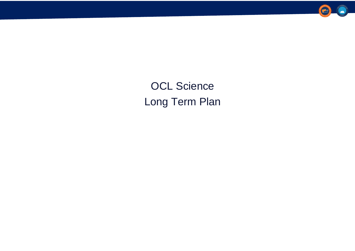OCL Science Long Term Plan



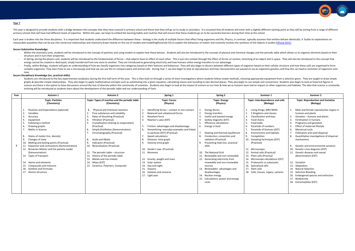This year is designed to provide students with a bridge between the concepts that they have covered in primary school and those that they will go on to study in secondary. It is assumed that all students will enter with a primary schools that will have had different levels of expertise. Within this year, we hope to embed the learning habits and routines that will ensure that these students go on to be successful learners during their time a

Each year is broken into the three disciplines. It is important that students understand the difference between these - biology is the study of multiple factors that effect living organisms and life, Physics, in contrast, measurable quantities that can be put into numerical relationships and chemistry draws heavily on the use of models and modelling footnote 55] to explain the behaviour of matter and routinely involves the synthesis of the

#### **Secure Substantive Knowledge:**

- Within the chemistry units, students will be introduced to the concept of particles and using models to explain how these behave. Students will also be introduced to the concept of physical and chemical changes and the p structure and in turn their properties.
- In Spring, during the physics unit, students will be introduced to the fundamentals of forces that objects have an effect on each other. This is put into context through the effect of forces on motion, stretching of an o energy cannot be created or destroyed, simply transferred from one store to another. They are introduced to generating electricity and how humans utilise energy transfers to our advantage.
- Finally, within Biology, students will gain an understanding of how we classify organisms into categories based on their features and behaviour. They will also begin to discern between different types of organism based on complex organisms. They learn how to use a microscope and how we can use this to compare plant and animal cells. During Year 7, we also begin to look at reproduction and how characteristics are passed on via an organisms g time.

Students are introduced to the key experimental vocabulary during the first half term of this year. This is then built on through a series of short investigations where students follow simple methods, choosing appropriate graphs & describe simple relationships. They also begin to apply mathematical concepts such as substituting into a given equation, calculating means and rounding to two decimal places. They also begin to use simple unit co science and there is the option to have discussions around the lack of diversity within this community of scientists. Students also begin to look at the impact of science on our lives & how we as humans have had an impact evolving will be introduced as students learn about the development of the periodic table and our understanding of fuels.

# **Secure Disciplinary Knowledge (inc. practical skills):**

| Year | Autumn 1                                                                                                                                                                                                                                                                                                                                                                                                                                                                                                                  | Autumn 2                                                                                                                                                                                                                                                                                                                                                                                                                                                                                                                                                  | Spring 1                                                                                                                                                                                                                                                                                                                                                                                                                                                                                                                              | Spring 2                                                                                                                                                                                                                                                                                                                                                                                                                                                                                                                                                               | Summer 1                                                                                                                                                                                                                                                                                                                                                                                                                                                                                                      | Summer 2                                                                                                                                                                                                                                                                                                                                                                                                                                                                                                                                                                                                                |
|------|---------------------------------------------------------------------------------------------------------------------------------------------------------------------------------------------------------------------------------------------------------------------------------------------------------------------------------------------------------------------------------------------------------------------------------------------------------------------------------------------------------------------------|-----------------------------------------------------------------------------------------------------------------------------------------------------------------------------------------------------------------------------------------------------------------------------------------------------------------------------------------------------------------------------------------------------------------------------------------------------------------------------------------------------------------------------------------------------------|---------------------------------------------------------------------------------------------------------------------------------------------------------------------------------------------------------------------------------------------------------------------------------------------------------------------------------------------------------------------------------------------------------------------------------------------------------------------------------------------------------------------------------------|------------------------------------------------------------------------------------------------------------------------------------------------------------------------------------------------------------------------------------------------------------------------------------------------------------------------------------------------------------------------------------------------------------------------------------------------------------------------------------------------------------------------------------------------------------------------|---------------------------------------------------------------------------------------------------------------------------------------------------------------------------------------------------------------------------------------------------------------------------------------------------------------------------------------------------------------------------------------------------------------------------------------------------------------------------------------------------------------|-------------------------------------------------------------------------------------------------------------------------------------------------------------------------------------------------------------------------------------------------------------------------------------------------------------------------------------------------------------------------------------------------------------------------------------------------------------------------------------------------------------------------------------------------------------------------------------------------------------------------|
|      | <b>Topic: Particles</b><br>(Chemistry)                                                                                                                                                                                                                                                                                                                                                                                                                                                                                    | Topic: Types of reaction and the periodic table<br>(Chemistry)                                                                                                                                                                                                                                                                                                                                                                                                                                                                                            | <b>Topic: Forces</b><br>(Physics)                                                                                                                                                                                                                                                                                                                                                                                                                                                                                                     | <b>Topic: Energy</b><br>(Physics)                                                                                                                                                                                                                                                                                                                                                                                                                                                                                                                                      | Topic: Interdependence and cells<br>(Biology)                                                                                                                                                                                                                                                                                                                                                                                                                                                                 | <b>Topic: Reproduction and Variation</b><br>(Biology)                                                                                                                                                                                                                                                                                                                                                                                                                                                                                                                                                                   |
|      | Routines and Expectations (optional)<br>Variables<br>3.<br>Accuracy<br>Equipment<br>Following a method<br>Drawing graphs<br>-6.<br>Maths in Science<br>States of matter (inc. density)<br>-8.<br>Changes of state<br>9.<br>Melting and boiling points (Practical)<br><b>Expansion and contractions (Demonstration)</b><br>Brownian Motion and the particle model<br>(Demonstration)<br>13. Types of transport<br>14. Atoms and elements<br>15. Compounds and mixtures<br>16. Symbols and formulae<br>17. Atomic Structure | <b>Physical and Chemical reactions</b><br>Pure substances and solubility<br>Rates of dissolving (Practical)<br><b>Filtration (Practical)</b><br>Crystallisation (linking to evaporation)<br>(Practical)<br>Simple Distillation (Demonstration)<br>6.<br>Chromatography (Practical)<br>8.<br><b>Acids and Alkalis</b><br>9.<br>Indicators (Practical)<br>10. Neutralisation (Practical)<br>11. The periodic table $-$ structure<br>12. History of the periodic table<br>13. Metals and non-metals<br>14. Alloys (EXT)<br>15. Ceramics, Polymers, Composite | Identifying forces - contact vs non-contact<br>Balanced and unbalanced forces<br><b>Resultant force</b><br>Newton's Laws (EXT)<br>5.<br>Friction- advantages and disadvantage<br>Streamlining-everyday examples and linked<br>to particles (EXT) (Practical)<br>Speed calculations<br>Distance-time graph<br>9.<br>Velocity-time graph<br>Hooke's Law- (Practical)<br>10.<br>11. Moments<br>12. Gravity, weight and mass<br>13. Solar system<br>14.<br>Day and night<br>15.<br>Seasons<br>16. Galaxies and universe<br>17. Light year | <b>Energy Stores</b><br>Energy transfers<br>Useful and wasted energy<br>Sankey diagrams (EXT)<br><b>Efficiency calculations</b><br>Energy in food<br>6.<br>Heating and thermal equilibrium<br>Conduction, convection and<br>-8.<br>radiation (Practical)<br>Preventing heat loss- practical<br>skills<br>10. The National Grid<br>11. Renewable and non-renewable<br>12. Generating electricity from<br>renewable and non-renewable<br>sources<br>13. Renewables- advantages and<br>disadvantages<br>14. Nuclear energy<br>15. Calculations: power and energy<br>costs | Living things: MRS NERG<br>5 Kingdoms and classes<br>Classification and keys<br>Food chains<br>Food webs<br>Pyramids of numbers<br>Pyramids of biomass (EXT)<br><b>Environment and habitats</b><br>9.<br>Competition<br>10. Sampling techniques (EXT)<br>(Practical)<br>11. Microscopes<br>12. Animal cells (Practical)<br>13. Plant cells (Practical<br>14. Microscope calculations (EXT)<br>15. Prokaryotic vs eukaryotic<br>16. Specialised cells<br>17. Stem cells<br>18. Cells, tissues, organs, systems | Male and female reproductive organs in<br>humans and plants<br>Gametes - humans and plants<br>Fertilisation in humans<br>Pregnancy and gestation<br>Effect of maternal lifestyle<br>Menstrual cycle<br>Pollination and seed dispersal<br>Quantitative investigations of dispersal<br>mechanisms<br>Genetic and environmental variation<br>q<br>10. Genetic cross diagrams (EXT)<br>11. Genetic diseases and sexual<br>determination (EXT)<br>12. Variation<br>13. Adaptation<br>14. Natural Selection<br>15. Selective Breeding<br>16. Endangered species and extinction<br>17. Biodiversity<br>18. Extremophiles (EXT) |

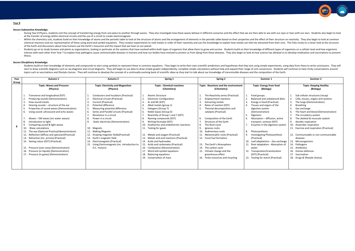#### **Secure Substantive Knowledge:**

- During Year 8 Physics, students visit the concept of transferring energy from one place to another through waves. They also investigate how these waves behave in different scenarios and the effect that we are then able t at the transfer of energy within electrical circuits and the use of a circuit to create electromagnets.
- Within the chemistry unit, students build on their knowledge of atoms and the periodic table to look at the structure of atoms and the arrangement of elements in the periodic table based on their properties and the effec chemical reactions and our representation of these using word and symbol equations. They conduct experiments to rank metals in order of their reactivity and use this knowledge to explain how metals can then be extracted fr of the Earth and discussions about how humans use the Earth's resources and the impact that we have on our planet.
- Students go on to study humans and plants as organisations, looking in particular at the systems that have evolved within both types of organism that allow them to grow and survive. Students build on their knowledge of dif interact with each other from Year 7 to explain how pathogens cause communicable diseases in humans and how our bodies have evolved to protect us from dying from these diseases. They also begin to look at how science has a illness**.**

#### **Secure Disciplinary Knowledge:**

- Students build on their knowledge of elements and compounds to start using symbols to represent these in common equations. They begin to write their own scientific predictions and hypotheses that they test using simple e start to draw scientific diagrams such as ray diagrams and circuit diagrams. They will begin to use data to draw simple graphs independently, complete simple calculations without help and expand their range of unit convers topics such as vaccinations and lifestyle choices. They will continue to develop the concept of a continually evolving bank of scientific ideas as they start to talk about our knowledge of transmissible diseases and the co

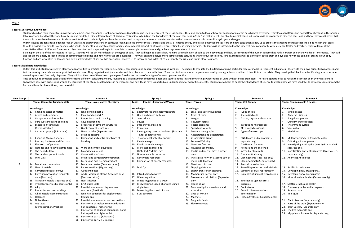#### **Secure Substantive Knowledge:**

- Students build on their chemistry knowledge of elements and compounds, looking at compounds and formulae used to represent these substances. They also begin to look at how our concept of an atom has changed over time. They table react and bond together and how this can be modelled using different types of diagram. This unit also builds on the knowledge of common reactions in Year 8 so that students are able to predict which substances will b these substances have been made. Students are introduced to electrolysis and how this can be used to separate more reactive elements from their ore and create substances like hydrogen and oxygen.
- Within Physics, students take a deeper look at waves and energy transfers, in particular looking at efficiency of these transfers and the GPE, kinestic energy and elastic potential energy store and how calculations allow u (should a closed system with no energy loss be used!). Students also start to observe and measure physical properties of waves, representing these using diagrams. Students will be introduced to the different types of quant quantitative effect of different forces on an objects motion and shape and begin to complete more complex calculations and graphical representations of data.
- Building on the use of the microscope in Year 7, students will look in more details at the types of cells. They will begin to discuss how humans use replication of cells to their advantage and how our concept of the human also look more closely at specific types of communicable disease and how new drugs are developed. They will begin to analyse more complex data sets, using this to draw conclusions. Finally, students will go on to look at t function and are susceptive to damage and how our knowledge of science has once again, allowed us to intervene and in lots of cases, identify the issue and put in place solutions.

- Within this unit, students are given plenty of opportunities to practice representing elements, compounds and general reactions using symbols. They begin to evaluate the limitations of using particular types of model to test these using the evidence to support their conclusions. They begin to identify anomalies and describe how to deal with them. They start to look at more complete relationships on a graph and use lines of best fit to ext wave diagrams and free body diagrams. They build on their use of the microscope in year 7 to discuss the use of one type of microscope over another.
- They continue to complete calculations of increasing difficulty, calculating means, rounding to a given number of decimal places and signficiant figures and converting a wider range of units without being prompted. There a knowledge base with discussions around the structure of the atom, developments in microscopes and how these have supported our understanding of scientific concepts. Students also begin to apply their knowledge of science t Earth and how this has at times, been wasteful.

#### **Secure Disciplinary Knowledge:**

| <b>Year Group</b> | Autumn 1                               | Autumn 2                                        | Spring 1                                          | Spring 2                                  | Summer 1                              | Summer 2                                               |
|-------------------|----------------------------------------|-------------------------------------------------|---------------------------------------------------|-------------------------------------------|---------------------------------------|--------------------------------------------------------|
|                   | <b>Topic: Chemistry Fundamentals</b>   | <b>Topic: Investigative Chemistry</b>           | <b>Physics - Energy and Waves</b><br>Topic:       | <b>Topic: Forces</b>                      | <b>Topic: Cell Biology</b>            | <b>Topic: Communicable Diseases</b>                    |
|                   |                                        |                                                 |                                                   |                                           |                                       |                                                        |
|                   | Knowledge:                             | Knowledge:                                      | Knowledge:                                        | Knowledge:                                | Knowledge:                            | Knowledge:                                             |
|                   | Changing states of matter              | 1. Ionic bonding part 1                         | Energy stores and energy transfers                | Scalar and vector quantities              | 1. Types of cells                     | Viral diseases                                         |
|                   | 2.<br>Atoms and elements               | 2.<br>Ionic bonding part 2                      | 2.<br>Open and closed systems                     | 2.<br>Types of forces                     | 2.<br>Specialised cells               | $\overline{2}$ .<br><b>Bacterial diseases</b>          |
|                   | Compounds and formulae<br>3.           | -3.<br>Properties of ionic bonding              | $\overline{3}$ .<br>Work done                     | $\overline{3}$ .<br>Weight                | 3.<br>Tissues, organs and systems     | Fungal and protists                                    |
|                   | Pure substances and solutions<br>4.    | Covalent bonding<br>4.                          | 4.<br>Power                                       | <b>Resultant forces</b><br>$\overline{4}$ |                                       | Our barriers to diseases                               |
|                   | 5.<br>Separation techniques            | 5.<br>Properties of covalent structures         | 5.<br>Efficiency calculations                     | 5.<br>Vector diagrams                     | Introducing microscopes<br>4.         | The immune system                                      |
|                   | (Demonstration)                        | 6.<br><b>Giant covalent structures</b>          | 6.<br>Insulation                                  | 6.<br>Speed and velocity                  | 5<br><b>RP: Using Microscopes</b>     | Vaccinations<br>6.                                     |
|                   | Chromatography (R. Practical)          | $\overline{7}$<br>Nanoparticles (Separate only) | 7.<br>Investigating thermal insulators (Practical | Distance time graphs                      | 6.<br>Types of microscope             | Medicines                                              |
|                   |                                        | 8.<br><b>Metallic Bonding</b>                   | $-R$ for Separate only)                           | 8.<br>Acceleration and deceleration       |                                       |                                                        |
|                   | <b>Changing Atomic Theories</b>        | 9.<br>Comparing and contrasting types of        | Gravitational potential energy<br>8.              | 9.<br>Velocity time graphs                | DNA (bases and monomers =<br>7.       | Multiplying bacteria (Separate only)                   |
|                   | Protons, Neutrons and Electrons<br>8.  | bonding                                         | 9.<br>Kinetic energy                              | 10.<br><b>Terminal Velocity</b>           | separate only)                        | Culturing microorganisms<br>9.                         |
|                   | 9.<br>Electron configuration           |                                                 | 10.<br>Elastic potential energy                   | 11.<br>Newton's first law                 | The Human Genome<br>8.                | 10. Investigating Antiseptics (part 1) (Practical - R. |
|                   | 10. Isotopes and relative atomic mass  | 10. Word and symbol equations                   | 11. Multi-step calculations                       | 12.<br>Newton's second law                | 9.<br>Mitosis and the cell cycle      | separate only)                                         |
|                   | 11. The periodic table                 | 11. Balancing equations                         | (GPE/KE/EPE/Efficiency)                           | 13.<br>Inertia and inertial mass ((higher | 10. Incredible stem cells             | 11. Investigating antiseptics (part 2) (Practical - R. |
|                   | 12. The modern periodic table          | 12. Conservation of mass                        | Non-renewable resources<br>12.                    | only)                                     | 11. Therapeutic cloning               | separate only)                                         |
|                   | 13. Mini Quiz                          | 13. Metals and oxygen (Demonstration)           | 13.<br>Renewable resources                        | 14. Investigate Newton's Second Law of    | 12. Cloning plants (separate only)    | 12. Analysing Antibiotics                              |
|                   |                                        | 14. Metals and acid (Demonstration)             | 14. Comparison of energy resources                | motion (R. Practical)                     | 13. Cloning animals (Separate only)   |                                                        |
| 9                 | 14. Metals and non-metals              | 15. Metals and water (Demonstration)            |                                                   | 15. Newton's third law                    | 14. Asexual reproduction              |                                                        |
|                   | 15. Uses of metals                     | 16. Redox reactions (Higher only)               | 15. Mini Quiz                                     | 16.<br>Stopping distances                 | 15. Sexual Reproduction and Meiosis   | 13. Antibiotic resistance                              |
|                   | 16. Corrosion (Separate only)          | 17. Acids and bases                             |                                                   | 17.<br>Energy transfers in stopping       | 16. Sexual vs asexual reproduction    | 14. Developing new drugs (part 1)                      |
|                   | 17. Corrosion prevention (Separate     | 18. Acids - weak and strong (Separate only)     | 16. Introduction to waves                         | 18.<br>Momentum (higher only)             | 17. Examples of unusual reproduction  | 15. Developing new drugs (part 2)                      |
|                   | only) (Practical)                      | (Demonstration)                                 | 17. Waves equation                                | 19.<br>Momentum calculations (Separate    |                                       | 16. Monoclonal antibodies (Separate only)              |
|                   | 18. Transition metals (Separate only)  | 19. Neutralisation                              | 18.<br>Measuring period of a wave                 | only)                                     | 18. Inheritance (genetic cross        |                                                        |
|                   | 19. Typical properties (Separate only) | 20. RP: Soluble Salts                           | 19.<br>RP: Measuring speed of a wave using a      | 20.<br>Hooke's Law                        | diagrams)                             | 17. Scatter Graphs and Health                          |
|                   | 20. Alloys                             | 20. Reactivity series and displacement          | ripple tank                                       | 21. Relationship between force and        | 19. Family trees                      | 18.<br>Frequency tables and histograms                 |
|                   | 21. Properties and uses of alloys      | reactions (Practical)                           | 20. Measuring the speed of sound                  | extension                                 | 20. Genetic diseases and sex          | 19. Analysis data                                      |
|                   | 22. Alkali metals (Demonstration)      | 21. Ionic half equations for displacement       | 21. EM Spectrum                                   | 22.<br><b>Circular Motion</b>             | determination                         | 20. Mini Quiz                                          |
|                   | 23. Halogens                           | (Higher only)                                   |                                                   | 23.<br><b>Magnets</b>                     | 21. Protein Synthesis (Separate only) |                                                        |
|                   | 24. Noble Gases                        | 22. Reactivity series and extraction methods    |                                                   | 24. Magnetic fields                       |                                       | 21. Plant diseases (Separate only)                     |
|                   | 25. Gas tests                          | 23. Electrolysis of molten compounds (ionic     |                                                   | 25. Electromagnets                        |                                       | 22. Parts of the brain (Separate only)                 |
|                   | (Demonstration/Practical               | half equations - higher only)                   |                                                   |                                           |                                       | 23. Brain Surgery (Separate only)                      |
|                   |                                        | 24. Electrolysis of aqueous compounds (ionic    |                                                   |                                           |                                       | 24. The Eye (Separate only)                            |
|                   |                                        | half equations - higher only)                   |                                                   |                                           |                                       | 25. Myopia and hyperopia (Separate only)               |
|                   |                                        | 25. Electrolysis part 1 (R.Practical)           |                                                   |                                           |                                       |                                                        |
|                   |                                        | 26. Electrolysis part 2 (R. Practical)          |                                                   |                                           |                                       |                                                        |
|                   |                                        |                                                 |                                                   |                                           |                                       |                                                        |
|                   |                                        |                                                 |                                                   |                                           |                                       |                                                        |

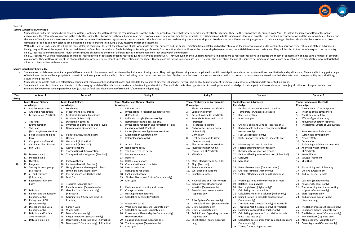#### **Secure Substantive Knowledge:**

- Students look further at humans being complex systems, looking at the different types of respiration and how the body is designed to ensure that these systems work effectively together. They use their knowledge of enzyme enzymes and therefore rates of reaction in the body. Developing their knowledge of how substances can move from one place to another, they look at examples of this happening in both humans and plants and how this is determ the work in Year 7, students also look at how complex the interactions between organisms can be and the effect that humans can have on disrupting these relationships and how humans can utilise other living organisms to the damaging this can be and how science can be used to help us to prevent this having a truly negative impact on ecosystems.
- Within the physics unit, students will look in more details at radiation. They will the interaction of light waves with different surfaces and substances, radiation from unstable radioactive atoms and the impact of gaining Finally, they will look at the impact of forces on different surfaces both in solids and fluids. Building on knowledge of circuits from Year 8, students will look at the relationship between current, potential difference a Finally, separate science students will revisit the magnitude of space and the role of different forces in the phenomenon that exist within our universe.
- Finally, students will use their knowledge of chemical reactions to look at factors affecting reactions quantitatively and qualitatively. They will build on their understanding of using equations to represent reactions to calculations. They will look further at the changes that have occurred to our planet since it's creation and the impact that humans are having during our life time. They will also learn about the use of resources by humans allow us to live our lives with more ease.

- Students use models to represent a range of different scientific phenomenon and can discuss the limitations of using these. They test hypotheses using more complicated scientific invetsigations and use the data from these of techniques that would be appropriate to use within an investigation and are able to discuss why they have chosen one over another. Students can decide on the most appropriate method to present data and are able to evalu accuracy and precision.
- Students can complete multistep calculations, round numbers to a number of decimal places and calculate the volume of different 3D shapes. They will also be able to use a tangent to complete quantitative analysis of data p Students will have discussion around the start of life, changing models of the solar system and our understanding of electricity. There will also be further opportunities to develop students knowledge of their impact on th
- scientific developments have impacted our lives (e.g. use of fertilisers, development of streetlights/automatic car lights etc).

#### **Secure Disciplinary Knowledge:**

| Year  | Autumn 1                                     | Autumn 2                                        | Spring 1                                               | Spring 2                                    | Summer 1                                              | Summer 2                                  |
|-------|----------------------------------------------|-------------------------------------------------|--------------------------------------------------------|---------------------------------------------|-------------------------------------------------------|-------------------------------------------|
| Group |                                              |                                                 |                                                        |                                             |                                                       |                                           |
|       | <b>Topic: Human Biology</b>                  | <b>Topic: Plant Biology</b>                     | <b>Topic: Nuclear and Thermal Physics</b>              | <b>Topic: Electricity and Astrophysics</b>  | <b>Topic: Reacting Substances</b>                     | <b>Topic: Humans and the Earth</b>        |
|       | Knowledge:                                   | Knowledge:                                      | Knowledge:                                             | Knowledge:                                  | Knowledge:                                            | Knowledge:                                |
|       | Aerobic respiration                          | 1. Food webs                                    | <b>EM Spectrum</b>                                     | <b>Electrical Circuits Introduction</b>     | Exothermic and endothermic reactions                  | The Early Earth's Atmosphere              |
|       | 2.<br>Anaerobic respiration                  | 2.<br>Predator and prey graphs                  | Investigating IR radiation (Separate only)<br>2.       | 2.<br>Calculating current                   | 2.<br>Temperature Changes (R.Practical)               | Theories of the atmosphere<br>2.          |
|       | $\overline{3}$ .<br>Fermentation (Practical) | 3.<br><b>Ecological Sampling techniques</b>     | (R.Practical)                                          | 3.<br>Current in circuits (practical)       | $\overline{3}$ .<br>Reaction profiles                 | 3.<br>The Greenhouse Effect               |
|       |                                              | 4.<br>Quadrats (R.Practical)                    | Reflection of light (Separate only)<br>3.              | 4<br>Potential Difference in circuits       | 4. Bond energies                                      | Effects of global warming<br>$\mathbf{4}$ |
|       | 4. The lungs                                 | 5.<br>Distribution patterns                     | Refraction of light (Separate only)<br>4.              | (practical)                                 |                                                       | Reducing our carbon footprint             |
|       | (Demonstration)                              | Pyramids of biomass and tropic levels<br>6.     | Investigating reflection and refraction of light<br>5. | 5.<br>Resistance in circuits                | Chemical cells and voltage (separate only)<br>5.      | The Harmful Effects of Combustion<br>6.   |
|       | 5.<br>The heart                              | 7.<br>Decomposers (Separate only)               | (separate only) (R.Practical)                          | Factors affecting resistance                | Rechargeable and non-rechargeable batteries<br>6.     |                                           |
|       | (Practical/Demonstration)                    |                                                 | Lenses (Separate only) (Demonstration)<br>6.           | (R.Practical)                               | (separate only)                                       | 7.<br>Resources used by humans            |
|       | Blood vessels and blood<br>6.                | 8. Plant cells, tissues and organs              | Magnification (Separate only)<br>7.                    | Ohm's Law<br>7.                             | Fuel Cells (Separate only)<br>7.                      | 8.<br>Sustainable development             |
|       | flow                                         | 9. Osmosis                                      | Colour (Separate only)<br>8.                           | 8.<br>Light Dependent Resistors             | 8. Half equations for fuel cells (Separate only)      | Potable Water<br>9.                       |
|       | Composition of blood                         | 10. Osmosis 1 (R. Practical)                    |                                                        | (Demonstration)                             |                                                       | 10. Desalination                          |
|       | 8.<br>Cardiovascular diseases                | 11. Osmosis 2 (R.Practical)                     | 9.<br>Atomic physics                                   | Thermistors (Demonstration)<br>9.           | 9. Measuring the rate of reaction                     | 11. Evaluating potable water methods      |
|       | 9.<br>Mini Quiz                              | 12. Active transport                            | 10. Radioactive decay                                  | 10.<br>Investigating non-Ohmic              | 10. Factors affecting rates of reaction               | 12. Analysing water samples               |
|       |                                              | 13. Transpiration & Translocation               | 11. The three types of decay                           | conductors (R.Practical)                    | 11. Drawing rates of reaction graphs                  | (R.Practical)                             |
|       | 10. Disease data 1                           | 14. Transpiration investigation (Practical)     | 12. Nuclear equations                                  | 11. Mini Quiz                               | 12. Factors affecting rates of reaction (R.Practical) | 13. Waste Water                           |
|       | 11. Disease data 2                           |                                                 | 13. Half life                                          |                                             | 13. Catalysts                                         | 14. Sewage Treatment                      |
|       | 12. Digestion                                | 15. Photosynthesis                              | 14. Half life calculations                             | 12. Mains electricity and AC & DC           | 14. Mini Quiz                                         | 15. Mini Quiz                             |
| 10    | 13. Enzymes                                  | 16. Photosynthesis (R. Practical)               | 15. Contamination and Irradiation                      | 13.<br>Plugs (Practical)                    |                                                       |                                           |
|       | 14. Testing for food groups                  | 17. Using glucose and nitrogen in plants        | 16. Uses of radiation                                  | Power calculations<br>14.                   | 15. Reversible reactions (Demonstration)              | 16. Phytomining and bioleaching           |
|       | (R.Practical)                                | 18. Limiting factors (higher only)              | 17. Background radiation                               | 15.<br>Work done calculations               | 16. Chatelier Principle (higher only)                 | 17. Life Cycle Assessment                 |
|       | 15. pH and Enzymes                           | 19. Inverse square law (higher only)            | 18. Evaluating hazards                                 | 16. Equations practice                      | 17. Factors affecting equilibrium (higher only)       | 18. Reduce, Reuse, Recycle                |
|       | (R.Practical)                                | 20. Mini Quiz                                   | Nuclear Fission and Fusion (Separate only)<br>19.      |                                             |                                                       |                                           |
|       | 16. Reaction rates in the                    |                                                 | 20. Mini Quiz                                          | 17. National Grid and Transformers          | 18. Word equations and conservation of mass           | 19. Ceramics (Separate only)              |
|       | body                                         | 21. Tropisms (Separate only)                    |                                                        | 18.<br>Transformers structure and           | 19. Relative Formula Mass                             | 20. Polymers (Separate only)              |
|       |                                              | 22. Plant hormones (Separate only)              | 21. Particle model - density and states                | equation (Separate only)                    | 20. Reacting Masses (higher only)*                    | 21. Thermosetting and thermosetting       |
|       | 17. Diffusion                                | 23. Germination 1 (Separate only)               | 22. Changes of state                                   | 19. Transformers power equation             | 21. Calculating mass of a solute                      | polymers (Separate only)                  |
|       | 18. Kidneys and the function                 | (R.Practical)                                   | 23. Heating and temperature                            | (Separate only)                             | 22. Calculating moles in a solution (higher only)     | 22. Glass (Separate only)                 |
|       | (Separate only)                              | 24. Germination 2 (Separate only) (R.           | 24. Calculating density (R.Practical)                  |                                             | 23. Using titration to calculate concentration        | 23. Reducing our human impact             |
|       | 19. Kidneys and ADH                          | Practical)                                      |                                                        | 20. Solar System (Separate only)            | (Separate only)                                       | (Separate only)                           |
|       | (Separate only)                              |                                                 | 25. Pressure in gases                                  | 21.<br>Life Cycle of a star (Separate only) | 24. Titrations Part 1 (separate only) (R. Practical)  |                                           |
|       | 20. Dissections and Data                     | 25. Carbon Cycle                                | Work done and pressure (Separate only)<br>26.          | 22.<br>Orbits (Separate only)               | 25. Titrations Part 2 (separate only) (R.Practical)   | 24. The Haber process 1 (Separate only)   |
|       | (Separate only)                              | 26. Water cycle                                 | 27. Calculating Pressure (Separate only)               | 23.<br>Orbits 2 (Separate only)             | 26. Explaining concentration (higher only)            | 25. Conditions graphs (Separate only)     |
|       | 21. Diffusion and Surface                    | 27. Decay (Separate only)                       | 28. Pressure at different depths (Separate only)       | 24. Red Shift and Expanding Universe        | 27. Calculating gas volume from relative formula      | 26. The Haber process 2 (Separate only)   |
|       | area (Practical)                             | 28. Biogas generators (Separate only)           | (Demonstration)                                        | (Separate only)                             | mass (Separate only)                                  | 27. NPK Fertilisers (separate only)       |
|       | 22. Diffusion in action                      | 29. Decay part 1 (Separate only) (R. Practical) | 29. Floating and sinking (Separate only)               | 25. The Big Bang Theory (Separate           | 28. Calculating gas volumes from balanced equations   | 28. Atom economy (Separate only)          |
|       |                                              | 30. Decay part 2 (Separate only) (R. Practical) | 30. The Atmosphere (Separate only)                     | only)                                       | (Separate only)                                       | 29. Percentage yield (Separate only)      |
|       |                                              |                                                 | 31. Mini Quiz                                          |                                             | 29. Testing for ions (Separate only)                  |                                           |

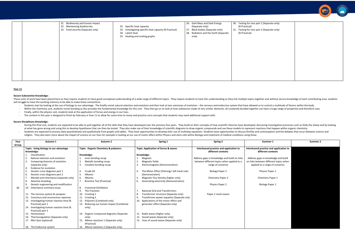| 32. Maintaining biodiversity<br>33. Food security (Separate only) | 32. Specific heat capacity<br>33. Investigating specific heat capacity (R.Practical)<br>34. Latent heat<br>35. Heating and cooling graphs | (Separate only)<br>27.<br>Black bodies (Separate only)<br>28.<br>Radiation and the Earth (Separate<br>only) | (R.Practical)<br>31. Testing for ions part 2 (Sepa<br>(R.Practical) |
|-------------------------------------------------------------------|-------------------------------------------------------------------------------------------------------------------------------------------|-------------------------------------------------------------------------------------------------------------|---------------------------------------------------------------------|
|                                                                   |                                                                                                                                           |                                                                                                             |                                                                     |
|                                                                   |                                                                                                                                           |                                                                                                             |                                                                     |
|                                                                   |                                                                                                                                           |                                                                                                             |                                                                     |
|                                                                   |                                                                                                                                           |                                                                                                             |                                                                     |
|                                                                   |                                                                                                                                           |                                                                                                             |                                                                     |
|                                                                   |                                                                                                                                           |                                                                                                             |                                                                     |
|                                                                   |                                                                                                                                           |                                                                                                             |                                                                     |
|                                                                   |                                                                                                                                           |                                                                                                             |                                                                     |
|                                                                   |                                                                                                                                           |                                                                                                             |                                                                     |
|                                                                   |                                                                                                                                           |                                                                                                             |                                                                     |
|                                                                   |                                                                                                                                           |                                                                                                             |                                                                     |
|                                                                   |                                                                                                                                           |                                                                                                             |                                                                     |
|                                                                   |                                                                                                                                           |                                                                                                             |                                                                     |
|                                                                   |                                                                                                                                           |                                                                                                             |                                                                     |
|                                                                   |                                                                                                                                           |                                                                                                             |                                                                     |
|                                                                   |                                                                                                                                           |                                                                                                             |                                                                     |



- 
- 

| ner 1                                                       | Summer 2 |
|-------------------------------------------------------------|----------|
| and application to<br>contexts                              |          |
| owledge and build<br>fferent topics when<br>ge of scenarios |          |
| Paper 1                                                     |          |
| y Paper 1                                                   |          |
| Paper 1                                                     |          |
|                                                             |          |
|                                                             |          |

These units of work have been placed here as they require students to have good conceptual understanding of a wide range of different topics. They require students to have this understanding as they link multiple topics to will struggle to have the working memory to be able to make these connections.

- Students start by looking at the use of biology to our advantage. The briefly revisit natural selection and evolution and then look at two outcomes of evolution the nervous and endocrine system that have allowed us to co
- Within the chemistry unit, students revisit bonding as this provides the fundamental knowledge for this unit. They then go on to look at how substances made of very similar elements, all covalently bonded together can ha
- Finally, within the physics unit, students look at the application of forces and energy in our lives.
- The content in this year is designed to finish by February in Year 11 to allow for some time to revise and practice core concepts that students may need additional support with.

# **Year 11**

# **Secure Substantive Knowledge:**

# **Secure Disciplinary Knowledge:**

- During this final unit, students are expected to be able to pull together all of the skills that they have developed over the previous five years. They build on their concepts of how scientific theories have developed, d at what has gone wrong and using this to develop hypotheses that can then be tested. They also make use of their knowledge of scientific diagrams to draw organic compounds and use these models to represent reactions that h - Students are expected to process data quantitatively and qualitatively from graphs and tables. They have opportunities to develop their use of multistep equations Students have opportunities to discuss fertility and cont
- religion. They also learn more about the impact of science on our lives for example in looking at our use of motor effect within Physics and stem cells within Biology and treatment of medical conditions using these.

| Year  | Autumn 1                                  | Autumn <sub>2</sub>                       | Spring 1                                     | Spring 2                                     | Summer 1                                | Summer 2 |
|-------|-------------------------------------------|-------------------------------------------|----------------------------------------------|----------------------------------------------|-----------------------------------------|----------|
| Group |                                           |                                           |                                              |                                              |                                         |          |
|       | Topic: Using biology to our advantage     | Topic: Organic Chemistry & polymers       | Topic: Application of forces & waves         | Interleaved practice and application to      | Interleaved practice and application to |          |
|       | Knowledge:                                |                                           |                                              | different contexts                           | different contexts                      |          |
|       | Classification                            | Knowledge:                                | Knowledge:                                   |                                              |                                         |          |
|       | Natural selection and evolution           | lonic bonding recap                       | Magnets                                      | Address gaps in knowledge and build on links | Address gaps in knowledge and build     |          |
|       | Comparing theories of evolution           | 2.<br>Metallic bonding recap              | Magnetic fields                              | between different topics when applied to a   | on links between different topics when  |          |
|       | (separate only)                           | 3.<br>Covalent bonding recap              | Electromagnets (Demonstration)               | range of scenarios                           | applied to a range of scenarios         |          |
|       | Evidence for evolution                    |                                           |                                              |                                              |                                         |          |
|       | Genetic cross diagrams part 1             | Crude Oil                                 | The Motor Effect (Flemings' left hand rule)  | Biology Paper 2                              | Physics Paper 1                         |          |
|       | Genetic cross diagrams part 2<br>6.       | Alkanes<br>-5.                            | (Demonstration)                              |                                              |                                         |          |
|       | Mendal and inheritance (separate only)    | Alkenes<br>6.                             | Magnetic Flux Density (higher only)          | <b>Chemistry Paper 2</b>                     | Chemistry Paper 1                       |          |
|       | Selective breeding<br>8.                  | <b>Bromine Test (Practical)</b>           | Generating electricity (Demonstration)<br>6. |                                              |                                         |          |
|       | Genetic engineering and modification      |                                           |                                              | Physics Paper 2                              | <b>Biology Paper 1</b>                  |          |
| 11    | 10.<br>Inheritance summary essay          | <b>Fractional Distillation</b><br>8.      |                                              |                                              |                                         |          |
|       |                                           | 9.<br>The Fractions                       | <b>National Grid and Transformers</b>        |                                              |                                         |          |
|       | The nervous system & synapses             | Cracking 1                                | Transformer structure (Separate only)<br>8   | Paper 2 mock exams                           |                                         |          |
|       | 12.<br>Conscious and unconscious reponses | 11. Cracking 2                            | Transformer power equation (Separate only    |                                              |                                         |          |
|       | Investigating human reaction time (R.     | 12. Polymers (Combined only)              | Applications of the motor effect and         |                                              |                                         |          |
|       | Practical) part 1                         | 13. Reducing our human impact (Combined   | generator effect (Separate only)             |                                              |                                         |          |
|       | Investigating human reaction time (R.     | only)                                     |                                              |                                              |                                         |          |
|       | Practical) part 2                         |                                           |                                              |                                              |                                         |          |
|       | 15.<br>Homeostasis                        | 14. Organic Compound diagrams (Separate   | 11. Radio waves (higher only)                |                                              |                                         |          |
|       | Thermoregulation (Separate only)<br>16.   | only)                                     | 12. Sound waves (Separate only)              |                                              |                                         |          |
|       | 17. Mini Quiz (optional)                  | Alkene reactions 1 (Separate only)<br>15. | 13. Uses of sound waves (Separate only)      |                                              |                                         |          |
|       |                                           | (Practical)                               |                                              |                                              |                                         |          |
|       | 18. The Endocrine system                  | 16. Alkene reactions 2 (Separate only)    |                                              |                                              |                                         |          |